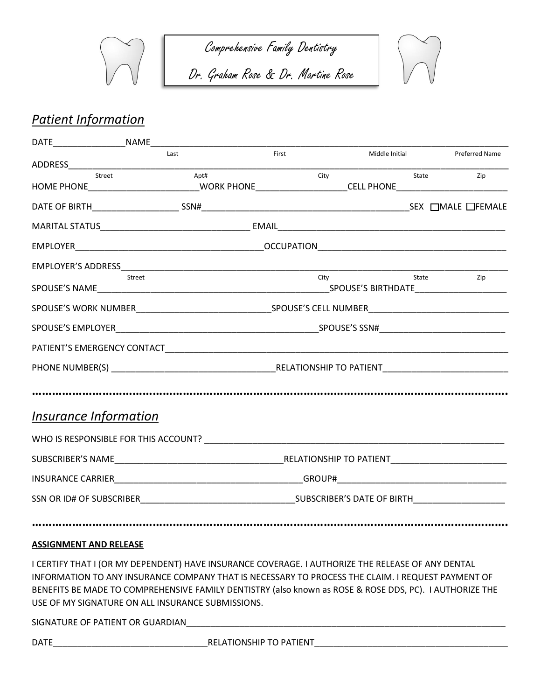

Comprehensive Family Dentistry

Dr. Graham Rose & Dr. Martine Rose



## *Patient Information*

|                              | Last                                                                                                                                                                                                                           | First |      | Middle Initial |  |       | <b>Preferred Name</b> |  |  |
|------------------------------|--------------------------------------------------------------------------------------------------------------------------------------------------------------------------------------------------------------------------------|-------|------|----------------|--|-------|-----------------------|--|--|
| Street                       | Apt#                                                                                                                                                                                                                           |       |      |                |  |       |                       |  |  |
|                              | HOME PHONE_____________________________WORK PHONE_____________________CELL PHONE__________________________                                                                                                                     |       | City |                |  | State | Zip                   |  |  |
|                              |                                                                                                                                                                                                                                |       |      |                |  |       |                       |  |  |
|                              |                                                                                                                                                                                                                                |       |      |                |  |       |                       |  |  |
|                              |                                                                                                                                                                                                                                |       |      |                |  |       |                       |  |  |
|                              |                                                                                                                                                                                                                                |       |      |                |  |       |                       |  |  |
|                              | Street                                                                                                                                                                                                                         |       |      | City State     |  |       | Zip                   |  |  |
|                              |                                                                                                                                                                                                                                |       |      |                |  |       |                       |  |  |
|                              |                                                                                                                                                                                                                                |       |      |                |  |       |                       |  |  |
|                              |                                                                                                                                                                                                                                |       |      |                |  |       |                       |  |  |
|                              |                                                                                                                                                                                                                                |       |      |                |  |       |                       |  |  |
|                              |                                                                                                                                                                                                                                |       |      |                |  |       |                       |  |  |
| <i>Insurance Information</i> |                                                                                                                                                                                                                                |       |      |                |  |       |                       |  |  |
|                              |                                                                                                                                                                                                                                |       |      |                |  |       |                       |  |  |
|                              |                                                                                                                                                                                                                                |       |      |                |  |       |                       |  |  |
|                              | INSURANCE CARRIER GROUP FOR THE GROUP OF THE GROUP OF THE GROUP OF THE GROUP OF THE GROUP OF THE GROUP OF THE GROUP OF THE GROUP OF THE GROUP OF THE GROUP OF THE GROUP OF THE GROUP OF THE GROUP OF THE GROUP OF THE GROUP OF |       |      |                |  |       |                       |  |  |
|                              |                                                                                                                                                                                                                                |       |      |                |  |       |                       |  |  |
|                              |                                                                                                                                                                                                                                |       |      |                |  |       |                       |  |  |

## **ASSIGNMENT AND RELEASE**

I CERTIFY THAT I (OR MY DEPENDENT) HAVE INSURANCE COVERAGE. I AUTHORIZE THE RELEASE OF ANY DENTAL INFORMATION TO ANY INSURANCE COMPANY THAT IS NECESSARY TO PROCESS THE CLAIM. I REQUEST PAYMENT OF BENEFITS BE MADE TO COMPREHENSIVE FAMILY DENTISTRY (also known as ROSE & ROSE DDS, PC). I AUTHORIZE THE USE OF MY SIGNATURE ON ALL INSURANCE SUBMISSIONS.

SIGNATURE OF PATIENT OR GUARDIAN